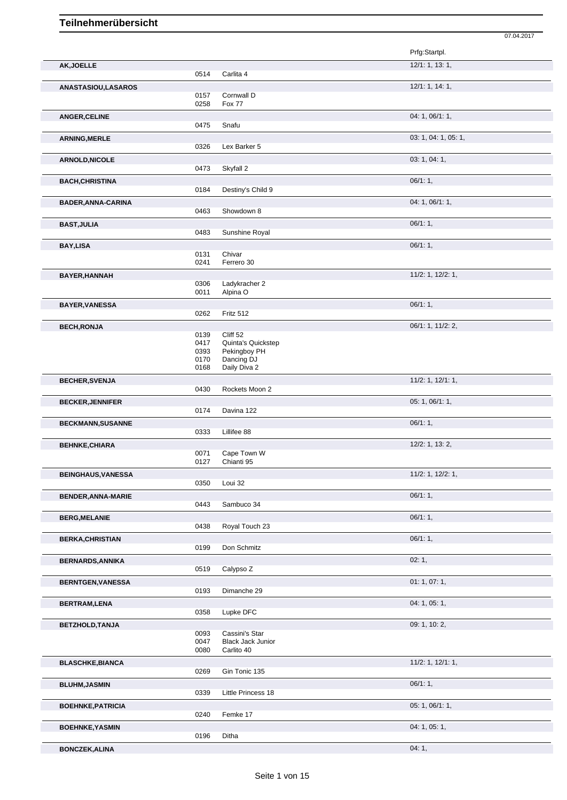|                           |              |                            | Prfg:Startpl.           |
|---------------------------|--------------|----------------------------|-------------------------|
| AK, JOELLE                |              |                            | 12/1: 1, 13: 1,         |
|                           | 0514         | Carlita 4                  |                         |
| <b>ANASTASIOU,LASAROS</b> |              |                            | 12/1: 1, 14: 1,         |
|                           | 0157         | Cornwall D                 |                         |
|                           | 0258         | <b>Fox 77</b>              |                         |
| <b>ANGER, CELINE</b>      |              |                            | 04: 1, 06/1: 1,         |
|                           | 0475         | Snafu                      |                         |
| <b>ARNING, MERLE</b>      |              |                            | 03: 1, 04: 1, 05: 1,    |
|                           | 0326         | Lex Barker 5               |                         |
| <b>ARNOLD, NICOLE</b>     |              |                            | 03: 1, 04: 1,           |
|                           | 0473         | Skyfall 2                  |                         |
| <b>BACH, CHRISTINA</b>    |              |                            | 06/1:1,                 |
|                           | 0184         | Destiny's Child 9          |                         |
| <b>BADER, ANNA-CARINA</b> |              |                            | 04: 1, 06/1: 1,         |
|                           | 0463         | Showdown 8                 |                         |
| <b>BAST, JULIA</b>        |              |                            | 06/1:1,                 |
|                           | 0483         | Sunshine Royal             |                         |
| <b>BAY,LISA</b>           |              |                            | 06/1:1,                 |
|                           | 0131         | Chivar                     |                         |
|                           | 0241         | Ferrero 30                 |                         |
| <b>BAYER, HANNAH</b>      |              |                            | 11/2: 1, 12/2: 1,       |
|                           | 0306         | Ladykracher 2              |                         |
|                           | 0011         | Alpina O                   |                         |
| <b>BAYER, VANESSA</b>     |              |                            | 06/1:1,                 |
|                           | 0262         | Fritz 512                  |                         |
| <b>BECH, RONJA</b>        |              |                            | 06/1: 1, 11/2: 2,       |
|                           | 0139         | Cliff 52                   |                         |
|                           | 0417         | Quinta's Quickstep         |                         |
|                           | 0393         | Pekingboy PH               |                         |
|                           | 0170<br>0168 | Dancing DJ<br>Daily Diva 2 |                         |
|                           |              |                            |                         |
| <b>BECHER, SVENJA</b>     |              |                            | $11/2$ : 1, $12/1$ : 1, |
|                           | 0430         | Rockets Moon 2             |                         |
| <b>BECKER, JENNIFER</b>   |              |                            | 05: 1, 06/1: 1,         |
|                           | 0174         | Davina 122                 |                         |
| <b>BECKMANN, SUSANNE</b>  |              |                            | 06/1:1,                 |
|                           | 0333         | Lillifee 88                |                         |
| <b>BEHNKE, CHIARA</b>     |              |                            | $12/2$ : 1, 13: 2,      |
|                           | 0071<br>0127 | Cape Town W<br>Chianti 95  |                         |
|                           |              |                            |                         |
| <b>BEINGHAUS, VANESSA</b> | 0350         | Loui 32                    | 11/2: 1, 12/2: 1,       |
|                           |              |                            |                         |
| <b>BENDER, ANNA-MARIE</b> | 0443         | Sambuco 34                 | 06/1:1,                 |
|                           |              |                            |                         |
| <b>BERG, MELANIE</b>      |              |                            | 06/1:1,                 |
|                           | 0438         | Royal Touch 23             |                         |
| <b>BERKA, CHRISTIAN</b>   |              |                            | 06/1:1,                 |
|                           | 0199         | Don Schmitz                |                         |
| <b>BERNARDS, ANNIKA</b>   |              |                            | 02:1,                   |
|                           | 0519         | Calypso Z                  |                         |
| <b>BERNTGEN, VANESSA</b>  |              |                            | 01: 1, 07: 1,           |
|                           | 0193         | Dimanche 29                |                         |
| <b>BERTRAM,LENA</b>       |              |                            | 04: 1, 05: 1,           |
|                           | 0358         | Lupke DFC                  |                         |
| BETZHOLD, TANJA           |              |                            | 09: 1, 10: 2,           |
|                           | 0093         | Cassini's Star             |                         |
|                           | 0047         | <b>Black Jack Junior</b>   |                         |
|                           | 0080         | Carlito 40                 |                         |
| <b>BLASCHKE, BIANCA</b>   |              |                            | $11/2$ : 1, $12/1$ : 1, |
|                           | 0269         | Gin Tonic 135              |                         |
| <b>BLUHM, JASMIN</b>      |              |                            | 06/1:1,                 |
|                           | 0339         | Little Princess 18         |                         |
| <b>BOEHNKE, PATRICIA</b>  |              |                            | 05: 1, 06/1: 1,         |
|                           | 0240         | Femke 17                   |                         |
| <b>BOEHNKE, YASMIN</b>    |              |                            | 04: 1, 05: 1,           |
|                           | 0196         | Ditha                      |                         |

07.04.2017

**BONCZEK,ALINA** 04: 1,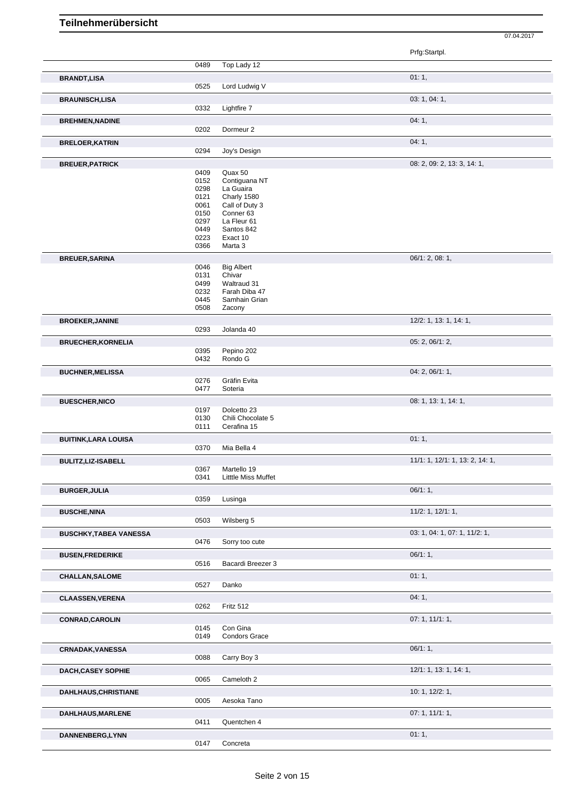|                               |              |                                        | Prfg:Startpl.                   |
|-------------------------------|--------------|----------------------------------------|---------------------------------|
|                               | 0489         | Top Lady 12                            |                                 |
| <b>BRANDT, LISA</b>           |              |                                        | 01:1,                           |
|                               | 0525         | Lord Ludwig V                          |                                 |
| <b>BRAUNISCH,LISA</b>         | 0332         | Lightfire 7                            | 03: 1, 04: 1,                   |
|                               |              |                                        |                                 |
| <b>BREHMEN, NADINE</b>        | 0202         | Dormeur <sub>2</sub>                   | 04: 1,                          |
| <b>BRELOER, KATRIN</b>        |              |                                        | 04:1,                           |
|                               | 0294         | Joy's Design                           |                                 |
| <b>BREUER, PATRICK</b>        |              |                                        | 08: 2, 09: 2, 13: 3, 14: 1,     |
|                               | 0409         | Quax 50                                |                                 |
|                               | 0152<br>0298 | Contiguana NT<br>La Guaira             |                                 |
|                               | 0121         | Charly 1580                            |                                 |
|                               | 0061<br>0150 | Call of Duty 3<br>Conner <sub>63</sub> |                                 |
|                               | 0297         | La Fleur 61                            |                                 |
|                               | 0449         | Santos 842                             |                                 |
|                               | 0223<br>0366 | Exact 10<br>Marta 3                    |                                 |
| <b>BREUER, SARINA</b>         |              |                                        | 06/1: 2, 08: 1,                 |
|                               | 0046         | <b>Big Albert</b>                      |                                 |
|                               | 0131         | Chivar<br>Waltraud 31                  |                                 |
|                               | 0499<br>0232 | Farah Diba 47                          |                                 |
|                               | 0445         | Samhain Grian                          |                                 |
|                               | 0508         | Zacony                                 |                                 |
| <b>BROEKER, JANINE</b>        | 0293         | Jolanda 40                             | 12/2: 1, 13: 1, 14: 1,          |
|                               |              |                                        | 05: 2, 06/1: 2,                 |
| <b>BRUECHER, KORNELIA</b>     | 0395         | Pepino 202                             |                                 |
|                               | 0432         | Rondo G                                |                                 |
| <b>BUCHNER, MELISSA</b>       |              |                                        | 04: 2, 06/1: 1,                 |
|                               | 0276<br>0477 | Gräfin Evita<br>Soteria                |                                 |
| <b>BUESCHER, NICO</b>         |              |                                        | 08: 1, 13: 1, 14: 1,            |
|                               | 0197         | Dolcetto 23                            |                                 |
|                               | 0130<br>0111 | Chili Chocolate 5<br>Cerafina 15       |                                 |
| <b>BUITINK, LARA LOUISA</b>   |              |                                        | 01:1,                           |
|                               | 0370         | Mia Bella 4                            |                                 |
| BULITZ, LIZ-ISABELL           |              |                                        | 11/1: 1, 12/1: 1, 13: 2, 14: 1, |
|                               | 0367         | Martello 19                            |                                 |
|                               | 0341         | Litttle Miss Muffet                    |                                 |
| <b>BURGER, JULIA</b>          | 0359         | Lusinga                                | 06/1:1,                         |
| <b>BUSCHE, NINA</b>           |              |                                        | $11/2$ : 1, $12/1$ : 1,         |
|                               | 0503         | Wilsberg 5                             |                                 |
| <b>BUSCHKY, TABEA VANESSA</b> |              |                                        | 03: 1, 04: 1, 07: 1, 11/2: 1,   |
|                               | 0476         | Sorry too cute                         |                                 |
| <b>BUSEN, FREDERIKE</b>       |              |                                        | 06/1:1,                         |
|                               | 0516         | Bacardi Breezer 3                      |                                 |
| <b>CHALLAN, SALOME</b>        | 0527         | Danko                                  | 01:1,                           |
|                               |              |                                        | 04:1,                           |
| <b>CLAASSEN, VERENA</b>       | 0262         | Fritz 512                              |                                 |
| <b>CONRAD, CAROLIN</b>        |              |                                        | 07: 1, 11/1: 1,                 |
|                               | 0145         | Con Gina                               |                                 |
|                               | 0149         | <b>Condors Grace</b>                   |                                 |
| <b>CRNADAK, VANESSA</b>       |              |                                        | 06/1:1,                         |
|                               | 0088         | Carry Boy 3                            |                                 |
| <b>DACH, CASEY SOPHIE</b>     | 0065         | Cameloth 2                             | 12/1: 1, 13: 1, 14: 1,          |
| <b>DAHLHAUS, CHRISTIANE</b>   |              |                                        | 10: 1, 12/2: 1,                 |
|                               | 0005         | Aesoka Tano                            |                                 |
| DAHLHAUS, MARLENE             |              |                                        | 07: 1, 11/1: 1,                 |
|                               | 0411         | Quentchen 4                            |                                 |
| DANNENBERG, LYNN              |              |                                        | 01:1,                           |
|                               | 0147         | Concreta                               |                                 |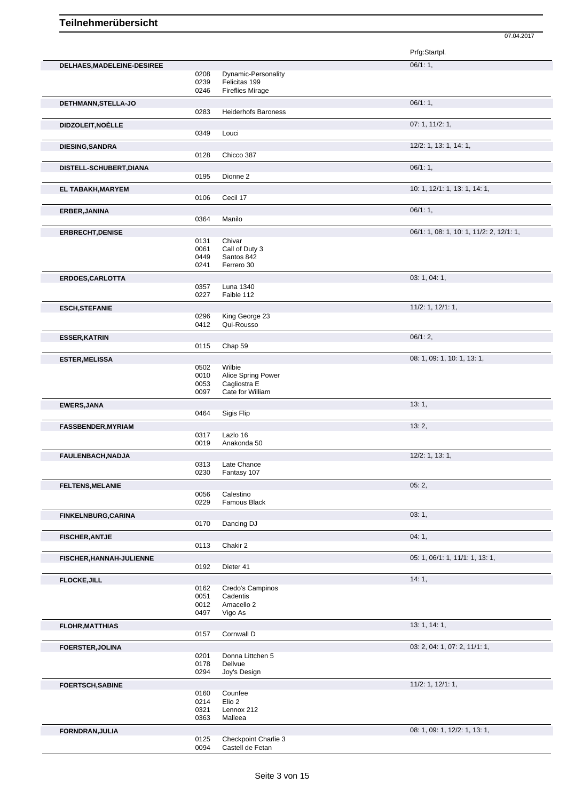Prfg:Startpl. **DELHAES,MADELEINE-DESIREE** 06/1: 1, 0208 Dynamic-Personality<br>0239 Felicitas 199 0239 Felicitas 199<br>0246 Fireflies Mira **Fireflies Mirage DETHMANN,STELLA-JO** 0283 Heiderhofs Baroness **CONSISTING 1999** 06/1: 1, Heiderhofs Baroness **DIDZOLEIT,NOÈLLE** 07: 1, 11/2: 1, 0349 Louci **DIESING,SANDRA** 12/2: 1, 13: 1, 14: 1, 0128 Chicco 387 **DISTELL-SCHUBERT,DIANA** 06/1: 1, 0195 Dionne 2 **EL TABAKH,MARYEM** 10: 1, 12/1: 1, 13: 1, 14: 1, 0106 Cecil 17 **ERBER,JANINA** 06/1: 1, 0364 Manilo 06/1: 1, 0364 Manilo 06/1: 1, 06/1: 1, 06/1: 1, 06/1: 1, 0364 Manilo 05/1: 1, 0364 Manilo 05/1: 1, 0364 Manilo 05/1: 1, 0364 Manilo 05/1: 0.000 Manilo 05/1: 0.000 Manilo 0.000 Manilo 0.0 Manilo **ERBRECHT, DENISE** 0131 Chivar 0131 Chivar 0131 Chivar 06/1: 1, 08: 1, 10: 1, 11/2: 2, 12/1: 1, Chivar 0061 Call of Duty 3 0449 Santos 842<br>0241 Ferrero 30 Ferrero 30 **ERDOES,CARLOTTA** 03: 1, 04: 1, 0357 Luna 1340 0227 Faible 112 **ESCH,STEFANIE** 1, 12/1: 1, 12/1: 1, 12/1: 1, 12/1: 1, 12/1: 1, 12/1: 1, 12/1: 1, 12/1: 1, 12/1: 1, 12/1: 1, 12/1: 1, 12/1: 1, 12/1: 1, 12/1: 1, 12/1: 1, 12/1: 1, 12/1: 1, 12/1: 1, 12/1: 1, 12/1: 1, 12/1: 1, 12/1: 1, 12/1: 0296 King George 23<br>0412 Qui-Rousso Qui-Rousso **ESSER,KATRIN** 06/1: 2, 0115 Chap 59 **ESTER,MELISSA** 08: 1, 09: 1, 13: 1, 0502 Wilbie<br>0010 Alice S 0010 Alice Spring Power<br>0053 Cagliostra E 0053 Cagliostra E<br>0097 Cate for Will Cate for William **EWERS, JANA** 13: 1, 2004 13: 1, 2006 13: 1, 2006 13: 1, 2006 13: 1, 2006 13: 1, 2006 13: 1, 2006 13: 1, 2006 13: 1, 2006 13: 1, 2006 13: 1, 2007 13: 1, 2007 13: 1, 2007 13: 1, 2007 13: 1, 2007 13: 1, 2007 13: 1, 2007 13: Sigis Flip **FASSBENDER,MYRIAM** 13: 2, 0317 Lazlo 16<br>0019 Anakond Anakonda 50 **FAULENBACH,NADJA** 12/2: 1, 13: 1, 13: 1, 13: 1, 13: 1, 13: 1, 13: 1, 13: 1, 13: 1, 13: 1, 13: 1, 13: 1, 13: 1, 1 0313 Late Chance<br>0230 Fantasy 107 Fantasy 107 **FELTENS,MELANIE** 05: 2, 0056 Calestino<br>0229 Famous F Famous Black **FINKELNBURG,CARINA** 03: 1, Dancing DJ **FISCHER,ANTJE** 04: 1, 0113 Chakir 2 **FISCHER, HANNAH-JULIENNE** 0192 Dieter 41 06: 1, 06/1: 1, 06/1: 1, 11/1: 1, 13: 1, Dieter 41 **FLOCKE, JILL 14: 1, 2008 14: 1, 2008 14: 1, 2008 14: 1, 2008 14: 1, 2008 14: 1, 2008 14: 1, 2008 14: 1, 2008 14: 1, 2008 14: 1, 2008 14: 1, 2008 14: 1, 2008 14: 1, 2008 14: 1, 2008 14: 1, 2008 14: 1, 2008 14: 1, 2008 14:** 0162 Credo's Campinos 0051 Cadentis 0012 Amacello 2<br>0497 Vigo As Vigo As **FLOHR, MATTHIAS** 13: 1, 14: 1, 0157 Cornwall D **FOERSTER, JOLINA** 0201 Donna Littchen 5 03: 2, 04: 1, 07: 2, 11/1: 1, 0201 Donna Littchen 5<br>0178 Dellvue 0178 Dellvue<br>0294 Joy's De Joy's Design **FOERTSCH, SABINE** 11/2: 1, 12/1: 1, 12/1: 1, 12/1: 1, 12/1: 1, 12/1: 1, 12/1: 1, 12/1: 1, 12/1: 1, 12/1: 1, 12/1: 1, 12/1: 1, 12/1: 1, 12/1: 1, 12/1: 1, 12/1: 1, 12/1: 1, 12/1: 1, 12/1: 1, 12/1: 1, 12/1: 1, 12/1: 1, 12/1: 0160 Counfee<br>0214 Elio 2 0214 Elio 2<br>0321 Lenno 0321 Lennox 212<br>0363 Malleea Malleea **FORNDRAN,JULIA** 08: 1, 09: 1, 12/2: 1, 13: 1, 09: 1, 12/2: 1, 13: 1, 09: 1, 12/2: 1, 13: 1, 09: 1, 12/2: 1, 13: 1,

<sup>0125</sup> Checkpoint Charlie 3<br>0094 Castell de Fetan Castell de Fetan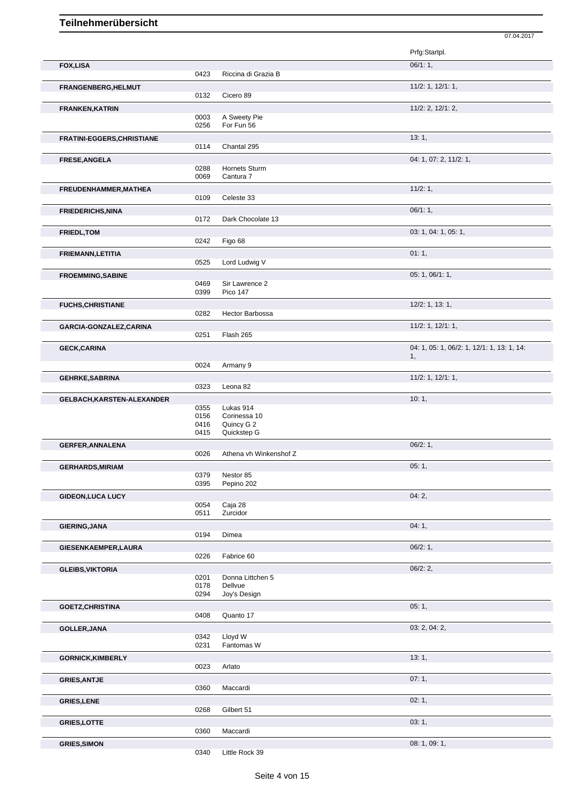|                            |              |                            | 07.04.2017                                       |
|----------------------------|--------------|----------------------------|--------------------------------------------------|
|                            |              |                            | Prfg:Startpl.                                    |
| <b>FOX,LISA</b>            |              |                            | 06/1:1,                                          |
|                            | 0423         | Riccina di Grazia B        |                                                  |
| FRANGENBERG, HELMUT        | 0132         | Cicero 89                  | $11/2$ : 1, $12/1$ : 1,                          |
| FRANKEN, KATRIN            |              |                            | 11/2: 2, 12/1: 2,                                |
|                            | 0003         | A Sweety Pie               |                                                  |
|                            | 0256         | For Fun 56                 |                                                  |
| FRATINI-EGGERS, CHRISTIANE |              |                            | 13:1,                                            |
|                            | 0114         | Chantal 295                |                                                  |
| FRESE, ANGELA              |              |                            | 04: 1, 07: 2, 11/2: 1,                           |
|                            | 0288<br>0069 | Hornets Sturm<br>Cantura 7 |                                                  |
| FREUDENHAMMER, MATHEA      |              |                            | 11/2:1,                                          |
|                            | 0109         | Celeste 33                 |                                                  |
| <b>FRIEDERICHS, NINA</b>   |              |                            | 06/1:1,                                          |
|                            | 0172         | Dark Chocolate 13          |                                                  |
| FRIEDL, TOM                |              |                            | 03: 1, 04: 1, 05: 1,                             |
|                            | 0242         | Figo 68                    |                                                  |
| FRIEMANN, LETITIA          |              |                            | 01:1,                                            |
|                            | 0525         | Lord Ludwig V              |                                                  |
| <b>FROEMMING, SABINE</b>   |              |                            | 05: 1, 06/1: 1,                                  |
|                            | 0469         | Sir Lawrence 2             |                                                  |
|                            | 0399         | Pico 147                   |                                                  |
| <b>FUCHS, CHRISTIANE</b>   |              |                            | 12/2: 1, 13: 1,                                  |
|                            | 0282         | Hector Barbossa            |                                                  |
| GARCIA-GONZALEZ, CARINA    | 0251         | Flash 265                  | $11/2$ : 1, $12/1$ : 1,                          |
|                            |              |                            |                                                  |
| <b>GECK, CARINA</b>        |              |                            | 04: 1, 05: 1, 06/2: 1, 12/1: 1, 13: 1, 14:<br>1, |
|                            | 0024         | Armany 9                   |                                                  |
| <b>GEHRKE, SABRINA</b>     |              |                            | $11/2$ : 1, $12/1$ : 1,                          |
|                            | 0323         | Leona 82                   |                                                  |
| GELBACH, KARSTEN-ALEXANDER |              |                            | 10:1,                                            |
|                            | 0355         | Lukas 914                  |                                                  |
|                            | 0156         | Corinessa 10               |                                                  |
|                            | 0416<br>0415 | Quincy G 2<br>Quickstep G  |                                                  |
| <b>GERFER, ANNALENA</b>    |              |                            | 06/2:1,                                          |
|                            | 0026         | Athena vh Winkenshof Z     |                                                  |
| <b>GERHARDS, MIRIAM</b>    |              |                            | 05:1,                                            |
|                            | 0379         | Nestor 85                  |                                                  |
|                            | 0395         | Pepino 202                 |                                                  |
| <b>GIDEON, LUCA LUCY</b>   |              |                            | 04:2,                                            |
|                            | 0054<br>0511 | Caja 28<br>Zurcidor        |                                                  |
|                            |              |                            |                                                  |
| <b>GIERING, JANA</b>       | 0194         | Dimea                      | 04:1,                                            |
|                            |              |                            |                                                  |
| GIESENKAEMPER, LAURA       | 0226         | Fabrice 60                 | 06/2:1,                                          |
| <b>GLEIBS, VIKTORIA</b>    |              |                            | 06/2:2,                                          |
|                            | 0201         | Donna Littchen 5           |                                                  |
|                            | 0178         | Dellvue                    |                                                  |
|                            | 0294         | Joy's Design               |                                                  |
| <b>GOETZ, CHRISTINA</b>    |              |                            | 05:1,                                            |
|                            | 0408         | Quanto 17                  |                                                  |
| <b>GOLLER, JANA</b>        |              |                            | 03: 2, 04: 2,                                    |
|                            | 0342<br>0231 | Lloyd W<br>Fantomas W      |                                                  |
|                            |              |                            | 13:1,                                            |
| <b>GORNICK, KIMBERLY</b>   | 0023         | Arlato                     |                                                  |
|                            |              |                            | 07:1,                                            |
| <b>GRIES, ANTJE</b>        | 0360         | Maccardi                   |                                                  |
| <b>GRIES, LENE</b>         |              |                            | 02:1,                                            |
|                            | 0268         | Gilbert 51                 |                                                  |
| <b>GRIES,LOTTE</b>         |              |                            | 03:1,                                            |
|                            | 0360         | Maccardi                   |                                                  |
|                            |              |                            |                                                  |
| <b>GRIES, SIMON</b>        |              |                            | 08: 1, 09: 1,                                    |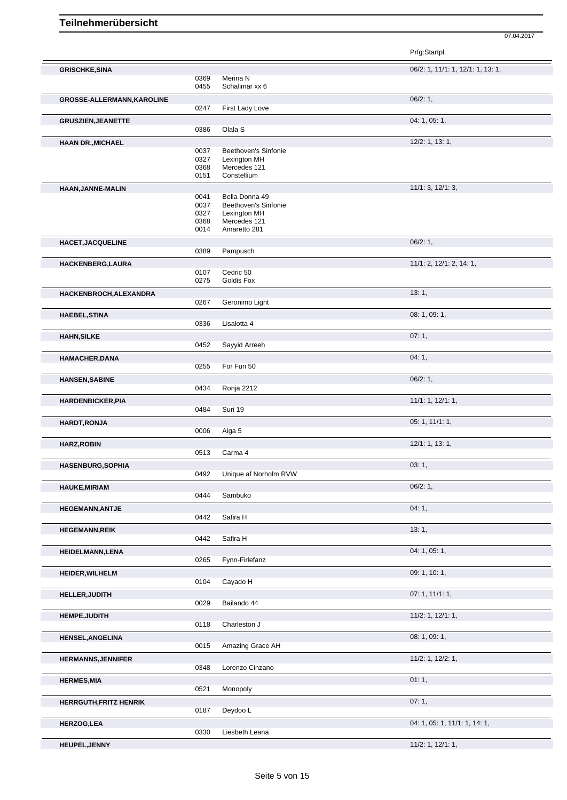|                                   |              |                                      | Prfg:Startpl.                     |
|-----------------------------------|--------------|--------------------------------------|-----------------------------------|
| <b>GRISCHKE, SINA</b>             |              |                                      | 06/2: 1, 11/1: 1, 12/1: 1, 13: 1, |
|                                   | 0369         | Merina N                             |                                   |
|                                   | 0455         | Schalimar xx 6                       |                                   |
| <b>GROSSE-ALLERMANN, KAROLINE</b> | 0247         | First Lady Love                      | $06/2:1$ ,                        |
|                                   |              |                                      | 04: 1, 05: 1,                     |
| <b>GRUSZIEN, JEANETTE</b>         | 0386         | Olala S                              |                                   |
| <b>HAAN DR., MICHAEL</b>          |              |                                      | 12/2: 1, 13: 1,                   |
|                                   | 0037         | Beethoven's Sinfonie                 |                                   |
|                                   | 0327<br>0368 | Lexington MH<br>Mercedes 121         |                                   |
|                                   | 0151         | Constellium                          |                                   |
| HAAN, JANNE-MALIN                 |              |                                      | 11/1: 3, 12/1: 3,                 |
|                                   | 0041         | Bella Donna 49                       |                                   |
|                                   | 0037<br>0327 | Beethoven's Sinfonie<br>Lexington MH |                                   |
|                                   | 0368         | Mercedes 121                         |                                   |
|                                   | 0014         | Amaretto 281                         |                                   |
| <b>HACET, JACQUELINE</b>          | 0389         | Pampusch                             | 06/2:1,                           |
|                                   |              |                                      | 11/1: 2, 12/1: 2, 14: 1,          |
| HACKENBERG, LAURA                 | 0107         | Cedric 50                            |                                   |
|                                   | 0275         | Goldis Fox                           |                                   |
| HACKENBROCH, ALEXANDRA            |              |                                      | 13:1,                             |
|                                   | 0267         | Geronimo Light                       |                                   |
| <b>HAEBEL, STINA</b>              | 0336         | Lisalotta 4                          | 08: 1, 09: 1,                     |
|                                   |              |                                      |                                   |
| <b>HAHN, SILKE</b>                | 0452         | Sayyid Arreeh                        | 07:1,                             |
| <b>HAMACHER, DANA</b>             |              |                                      | 04:1,                             |
|                                   | 0255         | For Fun 50                           |                                   |
| <b>HANSEN, SABINE</b>             |              |                                      | 06/2:1,                           |
|                                   | 0434         | Ronja 2212                           |                                   |
| <b>HARDENBICKER, PIA</b>          |              |                                      | 11/1: 1, 12/1: 1,                 |
|                                   | 0484         | Suri 19                              |                                   |
| <b>HARDT, RONJA</b>               | 0006         | Aiga 5                               | 05: 1, 11/1: 1,                   |
| <b>HARZ, ROBIN</b>                |              |                                      | 12/1: 1, 13: 1,                   |
|                                   | 0513         | Carma 4                              |                                   |
| <b>HASENBURG, SOPHIA</b>          |              |                                      | 03:1,                             |
|                                   | 0492         | Unique af Norholm RVW                |                                   |
| <b>HAUKE, MIRIAM</b>              | 0444         | Sambuko                              | 06/2:1,                           |
|                                   |              |                                      |                                   |
| <b>HEGEMANN, ANTJE</b>            | 0442         | Safira H                             | 04:1,                             |
| <b>HEGEMANN,REIK</b>              |              |                                      | 13:1,                             |
|                                   | 0442         | Safira H                             |                                   |
| <b>HEIDELMANN,LENA</b>            |              |                                      | 04: 1, 05: 1,                     |
|                                   | 0265         | Fynn-Firlefanz                       |                                   |
| <b>HEIDER, WILHELM</b>            |              |                                      | 09: 1, 10: 1,                     |
|                                   | 0104         | Cayado H                             |                                   |
| HELLER, JUDITH                    | 0029         | Bailando 44                          | 07:1, 11/1:1,                     |
| <b>HEMPE, JUDITH</b>              |              |                                      | $11/2$ : 1, $12/1$ : 1,           |
|                                   | 0118         | Charleston J                         |                                   |
| <b>HENSEL, ANGELINA</b>           |              |                                      | 08:1,09:1,                        |
|                                   | 0015         | Amazing Grace AH                     |                                   |
| <b>HERMANNS, JENNIFER</b>         |              |                                      | $11/2$ : 1, $12/2$ : 1,           |
|                                   | 0348         | Lorenzo Cinzano                      |                                   |
| <b>HERMES, MIA</b>                | 0521         | Monopoly                             | 01:1,                             |
| <b>HERRGUTH, FRITZ HENRIK</b>     |              |                                      | 07:1,                             |
|                                   | 0187         | Deydoo L                             |                                   |
| <b>HERZOG,LEA</b>                 |              |                                      | 04: 1, 05: 1, 11/1: 1, 14: 1,     |
|                                   | 0330         | Liesbeth Leana                       |                                   |
| HEUPEL, JENNY                     |              |                                      | $11/2$ : 1, $12/1$ : 1,           |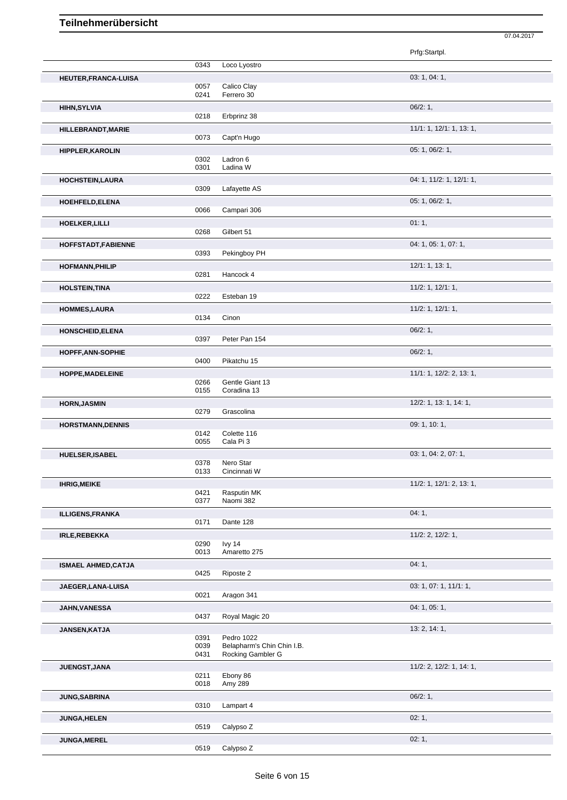|                            |              |                                          | Prfg:Startpl.            |
|----------------------------|--------------|------------------------------------------|--------------------------|
|                            | 0343         | Loco Lyostro                             |                          |
| HEUTER, FRANCA-LUISA       |              |                                          | 03: 1, 04: 1,            |
|                            | 0057         | Calico Clay<br>Ferrero 30                |                          |
|                            | 0241         |                                          |                          |
| <b>HIHN, SYLVIA</b>        | 0218         | Erbprinz 38                              | 06/2:1,                  |
|                            |              |                                          |                          |
| HILLEBRANDT, MARIE         | 0073         | Capt'n Hugo                              | 11/1: 1, 12/1: 1, 13: 1, |
|                            |              |                                          |                          |
| <b>HIPPLER, KAROLIN</b>    | 0302         | Ladron 6                                 | 05: 1, 06/2: 1,          |
|                            | 0301         | Ladina W                                 |                          |
| <b>HOCHSTEIN, LAURA</b>    |              |                                          | 04: 1, 11/2: 1, 12/1: 1, |
|                            | 0309         | Lafayette AS                             |                          |
| HOEHFELD, ELENA            |              |                                          | 05: 1, 06/2: 1,          |
|                            | 0066         | Campari 306                              |                          |
| <b>HOELKER, LILLI</b>      |              |                                          | 01:1,                    |
|                            | 0268         | Gilbert 51                               |                          |
| HOFFSTADT, FABIENNE        |              |                                          | 04: 1, 05: 1, 07: 1,     |
|                            | 0393         | Pekingboy PH                             |                          |
| <b>HOFMANN, PHILIP</b>     |              |                                          | 12/1: 1, 13: 1,          |
|                            | 0281         | Hancock 4                                |                          |
| <b>HOLSTEIN, TINA</b>      |              |                                          | $11/2$ : 1, 12/1: 1,     |
|                            | 0222         | Esteban 19                               |                          |
| <b>HOMMES,LAURA</b>        |              |                                          | $11/2$ : 1, $12/1$ : 1,  |
|                            | 0134         | Cinon                                    |                          |
| <b>HONSCHEID, ELENA</b>    |              |                                          | 06/2:1,                  |
|                            | 0397         | Peter Pan 154                            |                          |
| <b>HOPFF, ANN-SOPHIE</b>   |              |                                          | 06/2:1,                  |
|                            | 0400         | Pikatchu 15                              |                          |
| HOPPE, MADELEINE           |              |                                          | 11/1: 1, 12/2: 2, 13: 1, |
|                            | 0266         | Gentle Giant 13                          |                          |
|                            | 0155         | Coradina 13                              |                          |
|                            |              |                                          |                          |
| <b>HORN, JASMIN</b>        |              |                                          | 12/2: 1, 13: 1, 14: 1,   |
|                            | 0279         | Grascolina                               |                          |
| <b>HORSTMANN, DENNIS</b>   |              |                                          | 09: 1, 10: 1,            |
|                            | 0142         | Colette 116                              |                          |
|                            | 0055         | Cala Pi 3                                |                          |
| <b>HUELSER, ISABEL</b>     |              |                                          | 03: 1, 04: 2, 07: 1,     |
|                            | 0378<br>0133 | Nero Star<br>Cincinnati W                |                          |
|                            |              |                                          |                          |
| <b>IHRIG, MEIKE</b>        | 0421         | Rasputin MK                              | 11/2: 1, 12/1: 2, 13: 1, |
|                            | 0377         | Naomi 382                                |                          |
| <b>ILLIGENS, FRANKA</b>    |              |                                          | 04:1,                    |
|                            | 0171         | Dante 128                                |                          |
| IRLE, REBEKKA              |              |                                          | $11/2$ : 2, $12/2$ : 1,  |
|                            | 0290         | lvy 14                                   |                          |
|                            | 0013         | Amaretto 275                             |                          |
| <b>ISMAEL AHMED, CATJA</b> |              |                                          | 04:1,                    |
|                            | 0425         | Riposte 2                                |                          |
| JAEGER, LANA-LUISA         |              |                                          | 03: 1, 07: 1, 11/1: 1,   |
|                            | 0021         | Aragon 341                               |                          |
| <b>JAHN, VANESSA</b>       |              |                                          | 04: 1, 05: 1,            |
|                            | 0437         | Royal Magic 20                           |                          |
| JANSEN, KATJA              |              |                                          | 13: 2, 14: 1,            |
|                            | 0391<br>0039 | Pedro 1022<br>Belapharm's Chin Chin I.B. |                          |
|                            | 0431         | Rocking Gambler G                        |                          |
| JUENGST, JANA              |              |                                          | 11/2: 2, 12/2: 1, 14: 1, |
|                            | 0211         | Ebony 86                                 |                          |
|                            | 0018         | Amy 289                                  |                          |
| <b>JUNG, SABRINA</b>       |              |                                          | 06/2:1,                  |
|                            | 0310         | Lampart 4                                |                          |
| <b>JUNGA, HELEN</b>        |              |                                          | 02:1,                    |
| JUNGA, MEREL               | 0519         | Calypso Z                                | 02:1,                    |

07.04.2017

0519 Calypso Z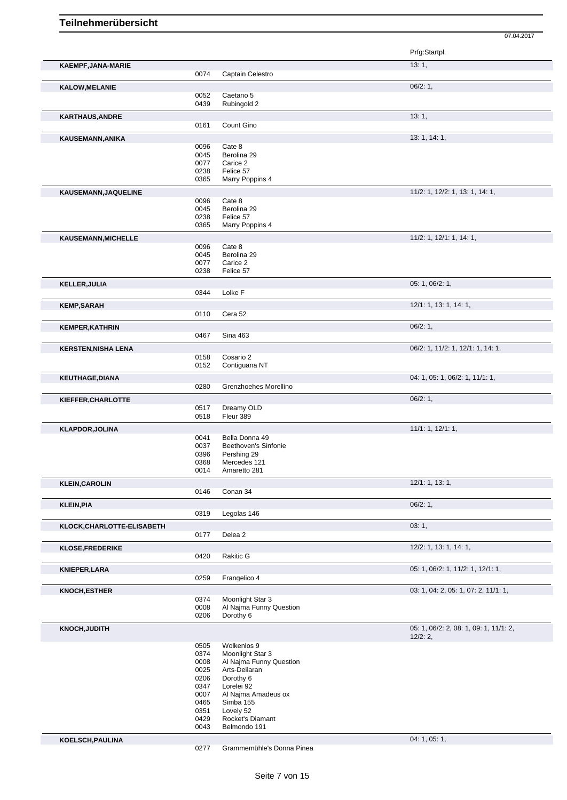07.04.2017

|                            |              |                                             | Prfg:Startpl.                          |
|----------------------------|--------------|---------------------------------------------|----------------------------------------|
| KAEMPF, JANA-MARIE         | 0074         | Captain Celestro                            | 13:1,                                  |
|                            |              |                                             | 06/2:1,                                |
| <b>KALOW, MELANIE</b>      | 0052         | Caetano 5                                   |                                        |
|                            | 0439         | Rubingold 2                                 |                                        |
| <b>KARTHAUS, ANDRE</b>     |              |                                             | 13:1,                                  |
|                            | 0161         | Count Gino                                  |                                        |
| KAUSEMANN, ANIKA           |              |                                             | 13: 1, 14: 1,                          |
|                            | 0096<br>0045 | Cate 8<br>Berolina 29                       |                                        |
|                            | 0077         | Carice 2                                    |                                        |
|                            | 0238         | Felice 57                                   |                                        |
|                            | 0365         | Marry Poppins 4                             |                                        |
| KAUSEMANN, JAQUELINE       | 0096         | Cate 8                                      | 11/2: 1, 12/2: 1, 13: 1, 14: 1,        |
|                            | 0045         | Berolina 29                                 |                                        |
|                            | 0238         | Felice 57                                   |                                        |
|                            | 0365         | Marry Poppins 4                             |                                        |
| KAUSEMANN, MICHELLE        |              |                                             | $11/2$ : 1, 12/1: 1, 14: 1,            |
|                            | 0096<br>0045 | Cate 8<br>Berolina 29                       |                                        |
|                            | 0077         | Carice 2                                    |                                        |
|                            | 0238         | Felice 57                                   |                                        |
| <b>KELLER, JULIA</b>       |              |                                             | 05: 1, 06/2: 1,                        |
|                            | 0344         | Lolke F                                     |                                        |
| <b>KEMP,SARAH</b>          |              |                                             | 12/1: 1, 13: 1, 14: 1,                 |
|                            | 0110         | Cera 52                                     |                                        |
| <b>KEMPER, KATHRIN</b>     |              |                                             | 06/2:1,                                |
|                            | 0467         | <b>Sina 463</b>                             |                                        |
| <b>KERSTEN, NISHA LENA</b> | 0158         | Cosario 2                                   | 06/2: 1, 11/2: 1, 12/1: 1, 14: 1,      |
|                            | 0152         | Contiguana NT                               |                                        |
| <b>KEUTHAGE, DIANA</b>     |              |                                             | 04: 1, 05: 1, 06/2: 1, 11/1: 1,        |
|                            | 0280         | Grenzhoehes Morellino                       |                                        |
| KIEFFER, CHARLOTTE         |              |                                             | 06/2:1,                                |
|                            | 0517         | Dreamy OLD                                  |                                        |
|                            | 0518         | Fleur 389                                   |                                        |
| <b>KLAPDOR, JOLINA</b>     | 0041         | Bella Donna 49                              | 11/1: 1, 12/1: 1,                      |
|                            | 0037         | Beethoven's Sinfonie                        |                                        |
|                            | 0396         | Pershing 29                                 |                                        |
|                            | 0368<br>0014 | Mercedes 121<br>Amaretto 281                |                                        |
|                            |              |                                             | 12/1: 1, 13: 1,                        |
| <b>KLEIN, CAROLIN</b>      | 0146         | Conan 34                                    |                                        |
| <b>KLEIN, PIA</b>          |              |                                             | $06/2:1$ ,                             |
|                            | 0319         | Legolas 146                                 |                                        |
| KLOCK, CHARLOTTE-ELISABETH |              |                                             | 03:1,                                  |
|                            | 0177         | Delea 2                                     |                                        |
| <b>KLOSE, FREDERIKE</b>    |              |                                             | 12/2: 1, 13: 1, 14: 1,                 |
|                            | 0420         | Rakitic G                                   |                                        |
| <b>KNIEPER,LARA</b>        |              |                                             | 05: 1, 06/2: 1, 11/2: 1, 12/1: 1,      |
|                            | 0259         | Frangelico 4                                |                                        |
| KNOCH, ESTHER              |              |                                             | 03: 1, 04: 2, 05: 1, 07: 2, 11/1: 1,   |
|                            | 0374<br>0008 | Moonlight Star 3<br>Al Najma Funny Question |                                        |
|                            | 0206         | Dorothy 6                                   |                                        |
| <b>KNOCH, JUDITH</b>       |              |                                             | 05: 1, 06/2: 2, 08: 1, 09: 1, 11/1: 2, |
|                            | 0505         | Wolkenlos 9                                 | 12/2:2,                                |
|                            | 0374         | Moonlight Star 3                            |                                        |
|                            | 0008<br>0025 | Al Najma Funny Question<br>Arts-Deilaran    |                                        |
|                            | 0206         | Dorothy 6                                   |                                        |
|                            | 0347         | Lorelei 92                                  |                                        |
|                            | 0007<br>0465 | Al Najma Amadeus ox<br>Simba 155            |                                        |
|                            | 0351         | Lovely 52                                   |                                        |
|                            | 0429         | Rocket's Diamant                            |                                        |
|                            | 0043         | Belmondo 191                                |                                        |
| KOELSCH, PAULINA           |              |                                             | 04: 1, 05: 1,                          |

Grammemühle's Donna Pinea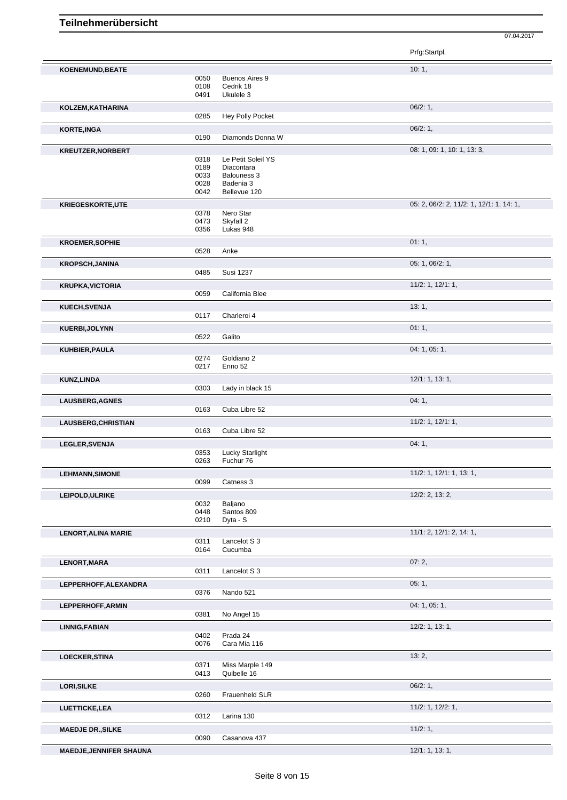|                                |              |                           | Prfg:Startpl.                            |
|--------------------------------|--------------|---------------------------|------------------------------------------|
| <b>KOENEMUND, BEATE</b>        |              |                           | 10:1,                                    |
|                                | 0050         | Buenos Aires 9            |                                          |
|                                | 0108         | Cedrik 18                 |                                          |
|                                | 0491         | Ukulele 3                 |                                          |
| KOLZEM, KATHARINA              |              |                           | 06/2:1,                                  |
|                                | 0285         | Hey Polly Pocket          |                                          |
|                                |              |                           | 06/2:1,                                  |
| KORTE, INGA                    | 0190         | Diamonds Donna W          |                                          |
|                                |              |                           |                                          |
| <b>KREUTZER, NORBERT</b>       |              |                           | 08: 1, 09: 1, 10: 1, 13: 3,              |
|                                | 0318<br>0189 | Le Petit Soleil YS        |                                          |
|                                | 0033         | Diacontara<br>Balouness 3 |                                          |
|                                | 0028         | Badenia 3                 |                                          |
|                                | 0042         | Bellevue 120              |                                          |
|                                |              |                           | 05: 2, 06/2: 2, 11/2: 1, 12/1: 1, 14: 1, |
| <b>KRIEGESKORTE,UTE</b>        | 0378         | Nero Star                 |                                          |
|                                | 0473         | Skyfall 2                 |                                          |
|                                | 0356         | Lukas 948                 |                                          |
| <b>KROEMER, SOPHIE</b>         |              |                           | 01:1,                                    |
|                                | 0528         | Anke                      |                                          |
|                                |              |                           |                                          |
| <b>KROPSCH, JANINA</b>         |              |                           | 05: 1, 06/2: 1,                          |
|                                | 0485         | <b>Susi 1237</b>          |                                          |
| <b>KRUPKA, VICTORIA</b>        |              |                           | $11/2$ : 1, $12/1$ : 1,                  |
|                                | 0059         | California Blee           |                                          |
| KUECH, SVENJA                  |              |                           | 13:1,                                    |
|                                | 0117         | Charleroi 4               |                                          |
| <b>KUERBI, JOLYNN</b>          |              |                           | 01:1,                                    |
|                                | 0522         | Galito                    |                                          |
|                                |              |                           |                                          |
| KUHBIER, PAULA                 |              |                           | 04: 1, 05: 1,                            |
|                                | 0274<br>0217 | Goldiano 2<br>Enno 52     |                                          |
|                                |              |                           |                                          |
| KUNZ, LINDA                    |              |                           | 12/1: 1, 13: 1,                          |
|                                | 0303         | Lady in black 15          |                                          |
| LAUSBERG, AGNES                |              |                           | 04:1,                                    |
|                                | 0163         | Cuba Libre 52             |                                          |
| LAUSBERG, CHRISTIAN            |              |                           | $11/2$ : 1, $12/1$ : 1,                  |
|                                | 0163         | Cuba Libre 52             |                                          |
| LEGLER, SVENJA                 |              |                           | 04:1,                                    |
|                                | 0353         | <b>Lucky Starlight</b>    |                                          |
|                                | 0263         | Fuchur 76                 |                                          |
| <b>LEHMANN, SIMONE</b>         |              |                           | 11/2: 1, 12/1: 1, 13: 1,                 |
|                                | 0099         | Catness 3                 |                                          |
|                                |              |                           |                                          |
| LEIPOLD, ULRIKE                | 0032         | Baljano                   | $12/2$ : 2, 13: 2,                       |
|                                | 0448         | Santos 809                |                                          |
|                                | 0210         | Dyta - S                  |                                          |
| <b>LENORT, ALINA MARIE</b>     |              |                           | 11/1: 2, 12/1: 2, 14: 1,                 |
|                                | 0311         | Lancelot S 3              |                                          |
|                                | 0164         | Cucumba                   |                                          |
|                                |              |                           | 07:2,                                    |
| <b>LENORT, MARA</b>            | 0311         | Lancelot S 3              |                                          |
|                                |              |                           |                                          |
| LEPPERHOFF, ALEXANDRA          |              |                           | 05:1,                                    |
|                                | 0376         | Nando 521                 |                                          |
| LEPPERHOFF, ARMIN              |              |                           | 04: 1, 05: 1,                            |
|                                | 0381         | No Angel 15               |                                          |
| <b>LINNIG, FABIAN</b>          |              |                           | $12/2$ : 1, 13: 1,                       |
|                                | 0402         | Prada 24                  |                                          |
|                                | 0076         | Cara Mia 116              |                                          |
| <b>LOECKER, STINA</b>          |              |                           | 13:2,                                    |
|                                | 0371         | Miss Marple 149           |                                          |
|                                | 0413         | Quibelle 16               |                                          |
| <b>LORI, SILKE</b>             |              |                           | 06/2:1,                                  |
|                                | 0260         | Frauenheld SLR            |                                          |
|                                |              |                           |                                          |
| <b>LUETTICKE,LEA</b>           | 0312         | Larina 130                | $11/2$ : 1, $12/2$ : 1,                  |
|                                |              |                           |                                          |
| <b>MAEDJE DR., SILKE</b>       |              |                           | 11/2:1,                                  |
|                                | 0090         | Casanova 437              |                                          |
| <b>MAEDJE, JENNIFER SHAUNA</b> |              |                           | 12/1: 1, 13: 1,                          |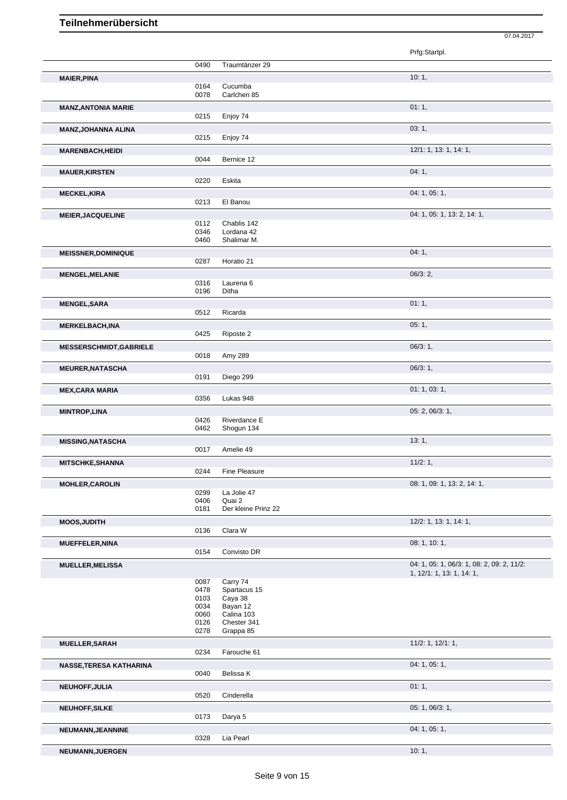|                                |              |                           | Prfg:Startpl.                              |
|--------------------------------|--------------|---------------------------|--------------------------------------------|
|                                | 0490         | Traumtänzer 29            |                                            |
| <b>MAIER, PINA</b>             |              |                           | 10:1,                                      |
|                                | 0164         | Cucumba                   |                                            |
|                                | 0078         | Carlchen 85               |                                            |
| <b>MANZ, ANTONIA MARIE</b>     |              |                           | 01:1,                                      |
|                                | 0215         | Enjoy 74                  |                                            |
| <b>MANZ, JOHANNA ALINA</b>     |              |                           | 03:1,                                      |
|                                | 0215         | Enjoy 74                  |                                            |
| <b>MARENBACH, HEIDI</b>        |              |                           | 12/1: 1, 13: 1, 14: 1,                     |
|                                | 0044         | Bernice 12                |                                            |
|                                |              |                           | 04:1,                                      |
| <b>MAUER, KIRSTEN</b>          | 0220         | Eskita                    |                                            |
|                                |              |                           |                                            |
| <b>MECKEL, KIRA</b>            |              |                           | 04: 1, 05: 1,                              |
|                                | 0213         | El Banou                  |                                            |
| <b>MEIER, JACQUELINE</b>       |              |                           | 04: 1, 05: 1, 13: 2, 14: 1,                |
|                                | 0112         | Chablis 142               |                                            |
|                                | 0346<br>0460 | Lordana 42<br>Shalimar M. |                                            |
|                                |              |                           |                                            |
| <b>MEISSNER, DOMINIQUE</b>     |              |                           | 04:1,                                      |
|                                | 0287         | Horatio 21                |                                            |
| <b>MENGEL, MELANIE</b>         |              |                           | 06/3:2                                     |
|                                | 0316         | Laurena <sub>6</sub>      |                                            |
|                                | 0196         | Ditha                     |                                            |
| <b>MENGEL, SARA</b>            |              |                           | 01:1,                                      |
|                                | 0512         | Ricarda                   |                                            |
| <b>MERKELBACH, INA</b>         |              |                           | 05:1,                                      |
|                                | 0425         | Riposte 2                 |                                            |
| <b>MESSERSCHMIDT, GABRIELE</b> |              |                           | 06/3:1,                                    |
|                                | 0018         | Amy 289                   |                                            |
|                                |              |                           |                                            |
| <b>MEURER, NATASCHA</b>        | 0191         | Diego 299                 | 06/3:1,                                    |
|                                |              |                           |                                            |
| <b>MEX, CARA MARIA</b>         |              |                           | 01: 1, 03: 1,                              |
|                                | 0356         | Lukas 948                 |                                            |
| <b>MINTROP,LINA</b>            |              |                           | 05: 2, 06/3: 1,                            |
|                                | 0426         | Riverdance E              |                                            |
|                                | 0462         | Shogun 134                |                                            |
| <b>MISSING, NATASCHA</b>       |              |                           | 13:1,                                      |
|                                | 0017         | Amelie 49                 |                                            |
| <b>MITSCHKE, SHANNA</b>        |              |                           | $11/2:1$ ,                                 |
|                                | 0244         | Fine Pleasure             |                                            |
| <b>MOHLER, CAROLIN</b>         |              |                           | 08: 1, 09: 1, 13: 2, 14: 1,                |
|                                | 0299         | La Jolie 47               |                                            |
|                                | 0406         | Quai 2                    |                                            |
|                                | 0181         | Der kleine Prinz 22       |                                            |
| <b>MOOS, JUDITH</b>            |              |                           | 12/2: 1, 13: 1, 14: 1,                     |
|                                | 0136         | Clara W                   |                                            |
| <b>MUEFFELER, NINA</b>         |              |                           | 08: 1, 10: 1,                              |
|                                | 0154         | Convisto DR               |                                            |
| <b>MUELLER, MELISSA</b>        |              |                           | 04: 1, 05: 1, 06/3: 1, 08: 2, 09: 2, 11/2: |
|                                |              |                           | 1, 12/1: 1, 13: 1, 14: 1,                  |
|                                | 0087         | Carry 74                  |                                            |
|                                | 0478         | Spartacus 15              |                                            |
|                                | 0103<br>0034 | Caya 38<br>Bayan 12       |                                            |
|                                | 0060         | Calina 103                |                                            |
|                                | 0126         | Chester 341               |                                            |
|                                | 0278         | Grappa 85                 |                                            |
| MUELLER, SARAH                 |              |                           | $11/2$ : 1, $12/1$ : 1,                    |
|                                | 0234         | Farouche 61               |                                            |
| NASSE, TERESA KATHARINA        |              |                           | 04: 1, 05: 1,                              |
|                                | 0040         | Belissa K                 |                                            |
|                                |              |                           |                                            |
| NEUHOFF, JULIA                 | 0520         | Cinderella                | 01:1,                                      |
|                                |              |                           |                                            |
| <b>NEUHOFF, SILKE</b>          |              |                           | 05: 1, 06/3: 1,                            |
|                                | 0173         | Darya 5                   |                                            |
| <b>NEUMANN, JEANNINE</b>       |              |                           | 04: 1, 05: 1,                              |
|                                | 0328         | Lia Pearl                 |                                            |

07.04.2017

**NEUMANN,JUERGEN** 10: 1,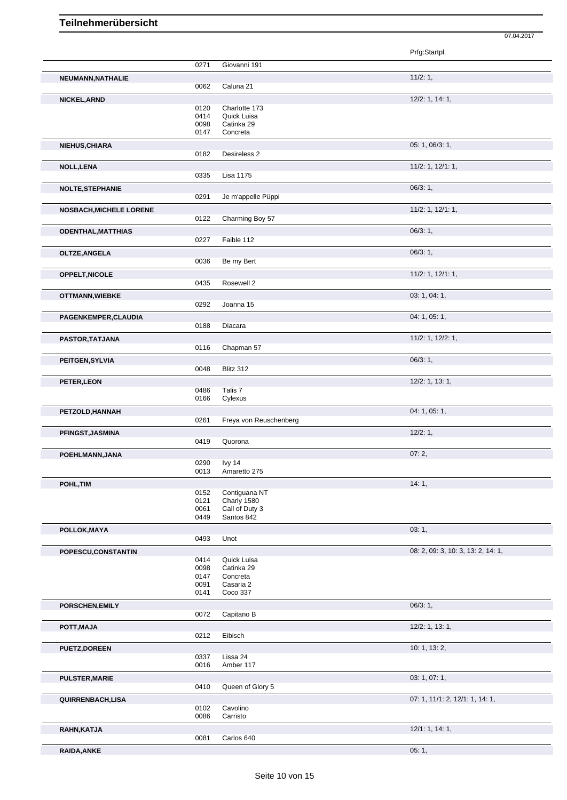|                                |              |                        | Prfg:Startpl.                      |
|--------------------------------|--------------|------------------------|------------------------------------|
|                                | 0271         | Giovanni 191           |                                    |
|                                |              |                        |                                    |
| NEUMANN, NATHALIE              | 0062         | Caluna 21              | 11/2:1,                            |
|                                |              |                        |                                    |
| NICKEL, ARND                   | 0120         | Charlotte 173          | $12/2$ : 1, 14: 1,                 |
|                                | 0414         | Quick Luisa            |                                    |
|                                | 0098         | Catinka 29             |                                    |
|                                | 0147         | Concreta               |                                    |
| NIEHUS, CHIARA                 |              |                        | 05: 1, 06/3: 1,                    |
|                                | 0182         | Desireless 2           |                                    |
| NOLL, LENA                     |              |                        | $11/2$ : 1, $12/1$ : 1,            |
|                                | 0335         | Lisa 1175              |                                    |
|                                |              |                        | 06/3:1,                            |
| <b>NOLTE, STEPHANIE</b>        | 0291         | Je m'appelle Püppi     |                                    |
|                                |              |                        |                                    |
| <b>NOSBACH, MICHELE LORENE</b> | 0122         | Charming Boy 57        | $11/2$ : 1, $12/1$ : 1,            |
|                                |              |                        |                                    |
| <b>ODENTHAL, MATTHIAS</b>      |              |                        | $06/3:1$ ,                         |
|                                | 0227         | Faible 112             |                                    |
| OLTZE, ANGELA                  |              |                        | 06/3:1,                            |
|                                | 0036         | Be my Bert             |                                    |
| <b>OPPELT, NICOLE</b>          |              |                        | $11/2$ : 1, $12/1$ : 1,            |
|                                | 0435         | Rosewell 2             |                                    |
| <b>OTTMANN, WIEBKE</b>         |              |                        | 03: 1, 04: 1,                      |
|                                | 0292         | Joanna 15              |                                    |
| PAGENKEMPER, CLAUDIA           |              |                        | 04: 1, 05: 1,                      |
|                                | 0188         | Diacara                |                                    |
| PASTOR, TATJANA                |              |                        | 11/2: 1, 12/2: 1,                  |
|                                | 0116         | Chapman 57             |                                    |
|                                |              |                        |                                    |
| PEITGEN, SYLVIA                | 0048         | Blitz 312              | 06/3:1,                            |
|                                |              |                        |                                    |
| PETER, LEON                    |              |                        | $12/2$ : 1, 13: 1,                 |
|                                | 0486<br>0166 | Talis 7<br>Cylexus     |                                    |
|                                |              |                        | 04: 1, 05: 1,                      |
| PETZOLD, HANNAH                | 0261         | Freya von Reuschenberg |                                    |
|                                |              |                        | 12/2:1,                            |
| PFINGST, JASMINA               | 0419         | Quorona                |                                    |
|                                |              |                        |                                    |
| POEHLMANN, JANA                | 0290         |                        | 07:2,                              |
|                                | 0013         | lvy 14<br>Amaretto 275 |                                    |
|                                |              |                        |                                    |
| POHL, TIM                      | 0152         | Contiguana NT          | 14:1,                              |
|                                | 0121         | Charly 1580            |                                    |
|                                | 0061         | Call of Duty 3         |                                    |
|                                | 0449         | Santos 842             |                                    |
| POLLOK, MAYA                   |              |                        | 03:1,                              |
|                                | 0493         | Unot                   |                                    |
| POPESCU, CONSTANTIN            |              |                        | 08: 2, 09: 3, 10: 3, 13: 2, 14: 1, |
|                                | 0414         | Quick Luisa            |                                    |
|                                | 0098         | Catinka 29             |                                    |
|                                | 0147         | Concreta               |                                    |
|                                | 0091<br>0141 | Casaria 2<br>Coco 337  |                                    |
|                                |              |                        |                                    |
| PORSCHEN, EMILY                | 0072         | Capitano B             | 06/3:1,                            |
|                                |              |                        |                                    |
| POTT, MAJA                     |              |                        | $12/2$ : 1, 13: 1,                 |
|                                | 0212         | Eibisch                |                                    |
| <b>PUETZ, DOREEN</b>           |              |                        | 10: 1, 13: 2,                      |
|                                | 0337         | Lissa 24               |                                    |
|                                | 0016         | Amber 117              |                                    |
| <b>PULSTER, MARIE</b>          |              |                        | 03: 1, 07: 1,                      |
|                                | 0410         | Queen of Glory 5       |                                    |
| QUIRRENBACH,LISA               |              |                        | 07: 1, 11/1: 2, 12/1: 1, 14: 1,    |
|                                |              |                        |                                    |
|                                | 0102         | Cavolino               |                                    |
|                                | 0086         | Carristo               |                                    |
| RAHN, KATJA                    | 0081         | Carlos 640             | 12/1: 1, 14: 1,                    |

07.04.2017

**RAIDA,ANKE** 05: 1,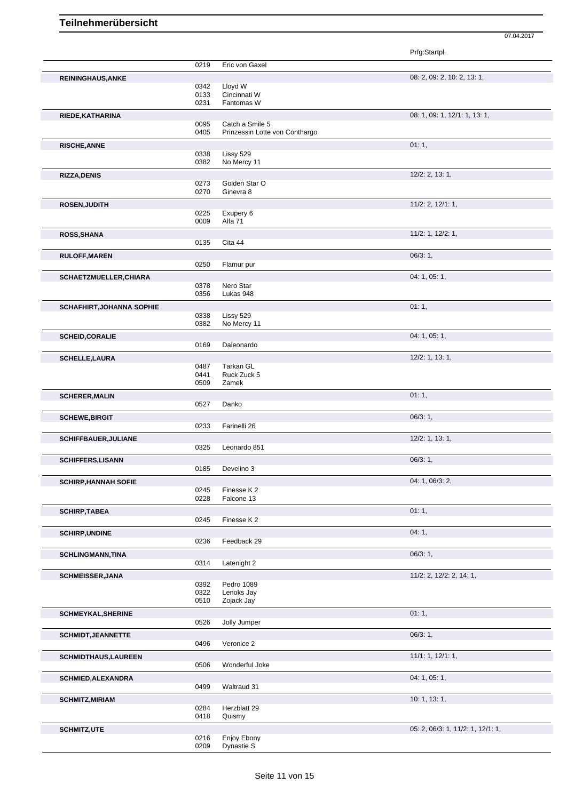|                             |              |                                | Prfg:Startpl.                     |  |
|-----------------------------|--------------|--------------------------------|-----------------------------------|--|
|                             | 0219         | Eric von Gaxel                 |                                   |  |
| <b>REININGHAUS, ANKE</b>    |              |                                | 08: 2, 09: 2, 10: 2, 13: 1,       |  |
|                             | 0342         | Lloyd W                        |                                   |  |
|                             | 0133<br>0231 | Cincinnati W<br>Fantomas W     |                                   |  |
|                             |              |                                |                                   |  |
| RIEDE, KATHARINA            | 0095         | Catch a Smile 5                | 08: 1, 09: 1, 12/1: 1, 13: 1,     |  |
|                             | 0405         | Prinzessin Lotte von Conthargo |                                   |  |
| <b>RISCHE, ANNE</b>         |              |                                | 01:1,                             |  |
|                             | 0338         | Lissy 529                      |                                   |  |
|                             | 0382         | No Mercy 11                    |                                   |  |
| <b>RIZZA, DENIS</b>         |              |                                | $12/2$ : 2, 13: 1,                |  |
|                             | 0273<br>0270 | Golden Star O<br>Ginevra 8     |                                   |  |
|                             |              |                                |                                   |  |
| <b>ROSEN, JUDITH</b>        | 0225         | Exupery 6                      | 11/2: 2, 12/1: 1,                 |  |
|                             | 0009         | Alfa 71                        |                                   |  |
| ROSS, SHANA                 |              |                                | $11/2$ : 1, $12/2$ : 1,           |  |
|                             | 0135         | Cita 44                        |                                   |  |
| <b>RULOFF, MAREN</b>        |              |                                | 06/3:1,                           |  |
|                             | 0250         | Flamur pur                     |                                   |  |
| SCHAETZMUELLER, CHIARA      |              |                                | 04: 1, 05: 1,                     |  |
|                             | 0378         | Nero Star                      |                                   |  |
|                             | 0356         | Lukas 948                      |                                   |  |
| SCHAFHIRT, JOHANNA SOPHIE   |              |                                | 01:1,                             |  |
|                             | 0338<br>0382 | Lissy 529<br>No Mercy 11       |                                   |  |
|                             |              |                                |                                   |  |
| <b>SCHEID, CORALIE</b>      | 0169         | Daleonardo                     | 04: 1, 05: 1,                     |  |
|                             |              |                                |                                   |  |
| <b>SCHELLE, LAURA</b>       | 0487         | Tarkan GL                      | $12/2$ : 1, 13: 1,                |  |
|                             | 0441         | Ruck Zuck 5                    |                                   |  |
|                             | 0509         | Zamek                          |                                   |  |
| <b>SCHERER, MALIN</b>       |              |                                | 01:1,                             |  |
|                             | 0527         | Danko                          |                                   |  |
| <b>SCHEWE, BIRGIT</b>       |              |                                | 06/3:1,                           |  |
|                             | 0233         | Farinelli 26                   |                                   |  |
| <b>SCHIFFBAUER, JULIANE</b> |              |                                | 12/2: 1, 13: 1,                   |  |
|                             | 0325         | Leonardo 851                   |                                   |  |
| <b>SCHIFFERS, LISANN</b>    | 0185         |                                | 06/3:1,                           |  |
|                             |              | Develino 3                     |                                   |  |
| <b>SCHIRP, HANNAH SOFIE</b> |              | Finesse K2                     | 04: 1, 06/3: 2,                   |  |
|                             | 0245<br>0228 | Falcone 13                     |                                   |  |
| <b>SCHIRP, TABEA</b>        |              |                                | 01:1,                             |  |
|                             | 0245         | Finesse K2                     |                                   |  |
| <b>SCHIRP, UNDINE</b>       |              |                                | 04:1,                             |  |
|                             | 0236         | Feedback 29                    |                                   |  |
| <b>SCHLINGMANN, TINA</b>    |              |                                | 06/3:1,                           |  |
|                             | 0314         | Latenight 2                    |                                   |  |
| <b>SCHMEISSER, JANA</b>     |              |                                | 11/2: 2, 12/2: 2, 14: 1,          |  |
|                             | 0392         | Pedro 1089                     |                                   |  |
|                             | 0322         | Lenoks Jay                     |                                   |  |
|                             | 0510         | Zojack Jay                     |                                   |  |
| <b>SCHMEYKAL, SHERINE</b>   |              |                                | 01:1,                             |  |
|                             | 0526         | Jolly Jumper                   |                                   |  |
| <b>SCHMIDT, JEANNETTE</b>   |              |                                | 06/3:1,                           |  |
|                             | 0496         | Veronice 2                     |                                   |  |
| <b>SCHMIDTHAUS, LAUREEN</b> | 0506         | Wonderful Joke                 | 11/1: 1, 12/1: 1,                 |  |
|                             |              |                                |                                   |  |
| SCHMIED, ALEXANDRA          | 0499         | Waltraud 31                    | 04: 1, 05: 1,                     |  |
|                             |              |                                |                                   |  |
| <b>SCHMITZ, MIRIAM</b>      | 0284         | Herzblatt 29                   | 10: 1, 13: 1,                     |  |
|                             | 0418         | Quismy                         |                                   |  |
| <b>SCHMITZ,UTE</b>          |              |                                | 05: 2, 06/3: 1, 11/2: 1, 12/1: 1, |  |
|                             | 0216         | Enjoy Ebony                    |                                   |  |
|                             | 0209         | Dynastie S                     |                                   |  |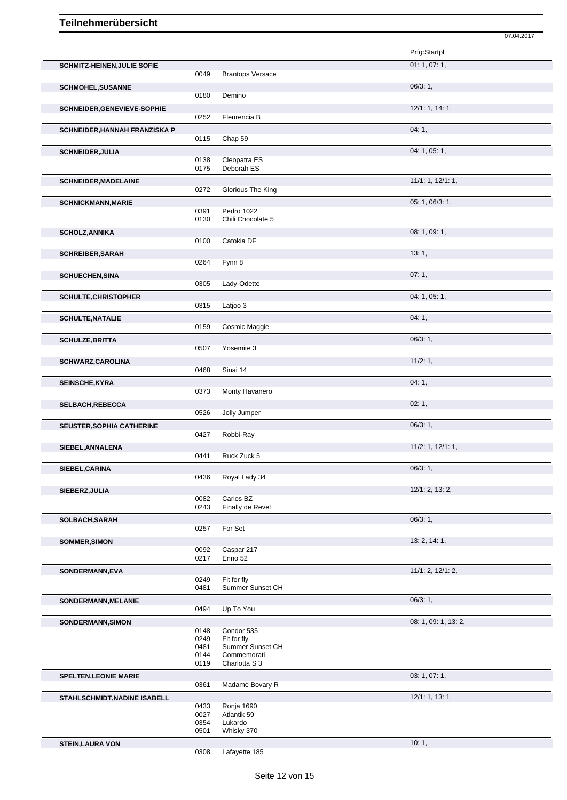|                                    |              |                                 | 07.04.2017           |  |
|------------------------------------|--------------|---------------------------------|----------------------|--|
|                                    |              |                                 | Prfg:Startpl.        |  |
| <b>SCHMITZ-HEINEN, JULIE SOFIE</b> |              |                                 | 01: 1, 07: 1,        |  |
|                                    | 0049         | <b>Brantops Versace</b>         |                      |  |
| <b>SCHMOHEL, SUSANNE</b>           |              |                                 | $06/3:1$ ,           |  |
|                                    | 0180         | Demino                          |                      |  |
| SCHNEIDER, GENEVIEVE-SOPHIE        |              |                                 | 12/1: 1, 14: 1,      |  |
|                                    | 0252         | Fleurencia B                    |                      |  |
| SCHNEIDER, HANNAH FRANZISKA P      |              |                                 | 04:1,                |  |
|                                    | 0115         | Chap 59                         |                      |  |
| <b>SCHNEIDER, JULIA</b>            | 0138         | Cleopatra ES                    | 04: 1, 05: 1,        |  |
|                                    | 0175         | Deborah ES                      |                      |  |
| <b>SCHNEIDER, MADELAINE</b>        |              |                                 | 11/1: 1, 12/1: 1,    |  |
|                                    | 0272         | Glorious The King               |                      |  |
| <b>SCHNICKMANN, MARIE</b>          |              |                                 | 05: 1, 06/3: 1,      |  |
|                                    | 0391         | Pedro 1022<br>Chili Chocolate 5 |                      |  |
|                                    | 0130         |                                 |                      |  |
| <b>SCHOLZ, ANNIKA</b>              | 0100         | Catokia DF                      | 08: 1, 09: 1,        |  |
|                                    |              |                                 | 13:1,                |  |
| <b>SCHREIBER, SARAH</b>            | 0264         | Fynn 8                          |                      |  |
| <b>SCHUECHEN, SINA</b>             |              |                                 | 07:1,                |  |
|                                    | 0305         | Lady-Odette                     |                      |  |
| <b>SCHULTE, CHRISTOPHER</b>        |              |                                 | 04: 1, 05: 1,        |  |
|                                    | 0315         | Latjoo 3                        |                      |  |
| <b>SCHULTE, NATALIE</b>            |              |                                 | 04:1,                |  |
|                                    | 0159         | Cosmic Maggie                   |                      |  |
| <b>SCHULZE, BRITTA</b>             |              |                                 | 06/3:1,              |  |
|                                    | 0507         | Yosemite 3                      |                      |  |
| <b>SCHWARZ, CAROLINA</b>           | 0468         | Sinai 14                        | 11/2:1,              |  |
|                                    |              |                                 |                      |  |
| <b>SEINSCHE, KYRA</b>              | 0373         | Monty Havanero                  | 04:1,                |  |
| SELBACH, REBECCA                   |              |                                 | 02:1,                |  |
|                                    | 0526         | Jolly Jumper                    |                      |  |
| <b>SEUSTER, SOPHIA CATHERINE</b>   |              |                                 | 06/3:1,              |  |
|                                    | 0427         | Robbi-Ray                       |                      |  |
| SIEBEL, ANNALENA                   |              |                                 | 11/2: 1, 12/1: 1,    |  |
|                                    | 0441         | Ruck Zuck 5                     |                      |  |
| SIEBEL, CARINA                     |              |                                 | 06/3:1,              |  |
|                                    | 0436         | Royal Lady 34                   |                      |  |
| SIEBERZ, JULIA                     | 0082         | Carlos BZ                       | 12/1: 2, 13: 2,      |  |
|                                    | 0243         | Finally de Revel                |                      |  |
| SOLBACH, SARAH                     |              |                                 | 06/3:1,              |  |
|                                    | 0257         | For Set                         |                      |  |
| <b>SOMMER, SIMON</b>               |              |                                 | 13: 2, 14: 1,        |  |
|                                    | 0092<br>0217 | Caspar 217<br>Enno 52           |                      |  |
|                                    |              |                                 | 11/1: 2, 12/1: 2,    |  |
| SONDERMANN, EVA                    | 0249         | Fit for fly                     |                      |  |
|                                    | 0481         | Summer Sunset CH                |                      |  |
| SONDERMANN, MELANIE                |              |                                 | 06/3:1,              |  |
|                                    | 0494         | Up To You                       |                      |  |
| SONDERMANN, SIMON                  |              |                                 | 08: 1, 09: 1, 13: 2, |  |
|                                    | 0148<br>0249 | Condor 535<br>Fit for fly       |                      |  |
|                                    | 0481         | Summer Sunset CH                |                      |  |
|                                    | 0144<br>0119 | Commemorati<br>Charlotta S 3    |                      |  |
|                                    |              |                                 |                      |  |
| <b>SPELTEN, LEONIE MARIE</b>       | 0361         | Madame Bovary R                 | 03: 1, 07: 1,        |  |
|                                    |              |                                 | 12/1: 1, 13: 1,      |  |
| STAHLSCHMIDT, NADINE ISABELL       | 0433         | Ronja 1690                      |                      |  |
|                                    | 0027         | Atlantik 59                     |                      |  |
|                                    | 0354<br>0501 | Lukardo<br>Whisky 370           |                      |  |
| <b>STEIN, LAURA VON</b>            |              |                                 | 10:1,                |  |
|                                    |              |                                 |                      |  |

<sup>0308</sup> Lafayette 185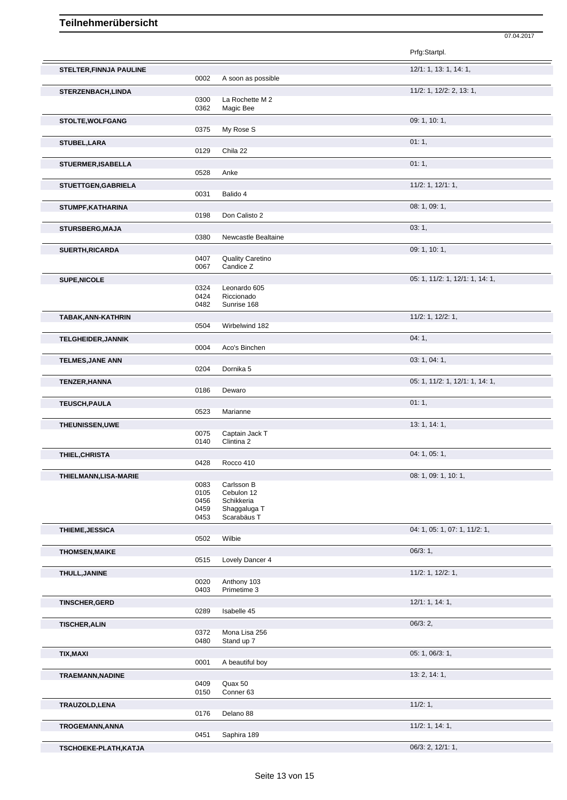|                                |              |                             | Prfg:Startpl.                   |
|--------------------------------|--------------|-----------------------------|---------------------------------|
| <b>STELTER, FINNJA PAULINE</b> |              |                             | 12/1: 1, 13: 1, 14: 1,          |
|                                | 0002         | A soon as possible          |                                 |
| STERZENBACH, LINDA             |              |                             | 11/2: 1, 12/2: 2, 13: 1,        |
|                                | 0300         | La Rochette M 2             |                                 |
|                                | 0362         | Magic Bee                   |                                 |
| <b>STOLTE, WOLFGANG</b>        |              |                             | 09: 1, 10: 1,                   |
|                                | 0375         | My Rose S                   |                                 |
| STUBEL, LARA                   |              |                             | 01:1,                           |
|                                | 0129         | Chila 22                    |                                 |
|                                |              |                             |                                 |
| STUERMER, ISABELLA             | 0528         | Anke                        | 01:1,                           |
|                                |              |                             |                                 |
| STUETTGEN, GABRIELA            |              |                             | $11/2$ : 1, $12/1$ : 1,         |
|                                | 0031         | Balido 4                    |                                 |
| STUMPF, KATHARINA              |              |                             | 08: 1, 09: 1,                   |
|                                | 0198         | Don Calisto 2               |                                 |
| <b>STURSBERG, MAJA</b>         |              |                             | 03:1,                           |
|                                | 0380         | Newcastle Bealtaine         |                                 |
|                                |              |                             |                                 |
| <b>SUERTH, RICARDA</b>         |              |                             | 09: 1, 10: 1,                   |
|                                | 0407         | <b>Quality Caretino</b>     |                                 |
|                                | 0067         | Candice Z                   |                                 |
| <b>SUPE, NICOLE</b>            |              |                             | 05: 1, 11/2: 1, 12/1: 1, 14: 1, |
|                                | 0324         | Leonardo 605                |                                 |
|                                | 0424         | Riccionado                  |                                 |
|                                | 0482         | Sunrise 168                 |                                 |
| TABAK, ANN-KATHRIN             |              |                             | $11/2$ : 1, $12/2$ : 1,         |
|                                | 0504         | Wirbelwind 182              |                                 |
| <b>TELGHEIDER, JANNIK</b>      |              |                             | 04:1,                           |
|                                | 0004         | Aco's Binchen               |                                 |
|                                |              |                             |                                 |
| <b>TELMES, JANE ANN</b>        |              |                             | 03: 1, 04: 1,                   |
|                                | 0204         | Dornika 5                   |                                 |
| <b>TENZER, HANNA</b>           |              |                             | 05: 1, 11/2: 1, 12/1: 1, 14: 1, |
|                                | 0186         | Dewaro                      |                                 |
| <b>TEUSCH, PAULA</b>           |              |                             | 01:1,                           |
|                                | 0523         | Marianne                    |                                 |
|                                |              |                             |                                 |
| THEUNISSEN, UWE                | 0075         | Captain Jack T              | 13: 1, 14: 1,                   |
|                                | 0140         | Clintina 2                  |                                 |
|                                |              |                             |                                 |
| THIEL, CHRISTA                 |              |                             | 04: 1, 05: 1,                   |
|                                | 0428         | Rocco 410                   |                                 |
| THIELMANN, LISA-MARIE          |              |                             | 08: 1, 09: 1, 10: 1,            |
|                                | 0083         | Carlsson B                  |                                 |
|                                | 0105         | Cebulon 12                  |                                 |
|                                | 0456         | Schikkeria                  |                                 |
|                                | 0459<br>0453 | Shaggaluga T<br>Scarabäus T |                                 |
|                                |              |                             |                                 |
| THIEME, JESSICA                |              |                             | 04: 1, 05: 1, 07: 1, 11/2: 1,   |
|                                | 0502         | Wilbie                      |                                 |
| <b>THOMSEN, MAIKE</b>          |              |                             | 06/3:1,                         |
|                                | 0515         | Lovely Dancer 4             |                                 |
|                                |              |                             | 11/2: 1, 12/2: 1,               |
| THULL, JANINE                  | 0020         | Anthony 103                 |                                 |
|                                | 0403         | Primetime 3                 |                                 |
|                                |              |                             |                                 |
| <b>TINSCHER, GERD</b>          |              |                             | 12/1: 1, 14: 1,                 |
|                                | 0289         | Isabelle 45                 |                                 |
| <b>TISCHER, ALIN</b>           |              |                             | 06/3:2,                         |
|                                | 0372         | Mona Lisa 256               |                                 |
|                                | 0480         | Stand up 7                  |                                 |
| <b>TIX, MAXI</b>               |              |                             | 05: 1, 06/3: 1,                 |
|                                | 0001         | A beautiful boy             |                                 |
|                                |              |                             | 13: 2, 14: 1,                   |
| TRAEMANN, NADINE               | 0409         | Quax 50                     |                                 |
|                                | 0150         | Conner <sub>63</sub>        |                                 |
|                                |              |                             |                                 |
| TRAUZOLD, LENA                 |              |                             | 11/2:1,                         |
|                                | 0176         | Delano 88                   |                                 |
| TROGEMANN, ANNA                |              |                             | 11/2: 1, 14: 1,                 |
|                                | 0451         | Saphira 189                 |                                 |
| TSCHOEKE-PLATH, KATJA          |              |                             | 06/3: 2, 12/1: 1,               |
|                                |              |                             |                                 |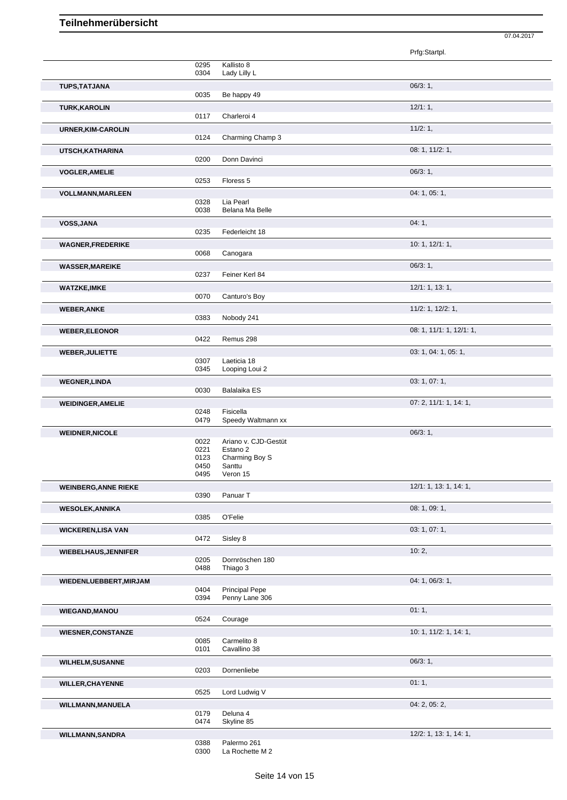|                             |              |                                         | Prfg:Startpl.            |  |
|-----------------------------|--------------|-----------------------------------------|--------------------------|--|
|                             | 0295         | Kallisto 8                              |                          |  |
|                             | 0304         | Lady Lilly L                            |                          |  |
| <b>TUPS, TATJANA</b>        |              |                                         | 06/3:1,                  |  |
|                             | 0035         | Be happy 49                             |                          |  |
| <b>TURK, KAROLIN</b>        |              |                                         | 12/1:1,                  |  |
|                             | 0117         | Charleroi 4                             |                          |  |
| URNER, KIM-CAROLIN          |              |                                         | 11/2:1,                  |  |
|                             | 0124         | Charming Champ 3                        |                          |  |
| UTSCH, KATHARINA            |              |                                         | 08: 1, 11/2: 1,          |  |
|                             | 0200         | Donn Davinci                            |                          |  |
| <b>VOGLER, AMELIE</b>       |              |                                         | 06/3:1,                  |  |
|                             | 0253         | Floress 5                               |                          |  |
| <b>VOLLMANN, MARLEEN</b>    |              |                                         | 04: 1, 05: 1,            |  |
|                             | 0328         | Lia Pearl                               |                          |  |
|                             | 0038         | Belana Ma Belle                         |                          |  |
| VOSS, JANA                  |              |                                         | 04:1,                    |  |
|                             | 0235         | Federleicht 18                          |                          |  |
| <b>WAGNER,FREDERIKE</b>     |              |                                         | 10: 1, 12/1: 1,          |  |
|                             | 0068         | Canogara                                |                          |  |
| <b>WASSER, MAREIKE</b>      |              |                                         | 06/3:1,                  |  |
|                             | 0237         | Feiner Kerl 84                          |                          |  |
| <b>WATZKE,IMKE</b>          |              |                                         | 12/1: 1, 13: 1,          |  |
|                             | 0070         | Canturo's Boy                           |                          |  |
| <b>WEBER, ANKE</b>          |              |                                         | 11/2: 1, 12/2: 1,        |  |
|                             | 0383         | Nobody 241                              |                          |  |
| <b>WEBER, ELEONOR</b>       |              |                                         | 08: 1, 11/1: 1, 12/1: 1, |  |
|                             | 0422         | Remus 298                               |                          |  |
| <b>WEBER, JULIETTE</b>      |              |                                         | 03: 1, 04: 1, 05: 1,     |  |
|                             | 0307<br>0345 | Laeticia 18<br>Looping Loui 2           |                          |  |
|                             |              |                                         | 03: 1, 07: 1,            |  |
| <b>WEGNER, LINDA</b>        | 0030         | Balalaika ES                            |                          |  |
| <b>WEIDINGER, AMELIE</b>    |              |                                         | 07: 2, 11/1: 1, 14: 1,   |  |
|                             | 0248         | Fisicella                               |                          |  |
|                             | 0479         | Speedy Waltmann xx                      |                          |  |
| <b>WEIDNER, NICOLE</b>      |              |                                         | 06/3:1,                  |  |
|                             | 0022         | Ariano v. CJD-Gestüt                    |                          |  |
|                             | 0221<br>0123 | Estano 2<br>Charming Boy S              |                          |  |
|                             | 0450         | Santtu                                  |                          |  |
|                             | 0495         | Veron 15                                |                          |  |
| <b>WEINBERG, ANNE RIEKE</b> |              |                                         | 12/1: 1, 13: 1, 14: 1,   |  |
|                             | 0390         | Panuar T                                |                          |  |
| <b>WESOLEK, ANNIKA</b>      |              |                                         | 08: 1, 09: 1,            |  |
|                             | 0385         | O'Felie                                 |                          |  |
| <b>WICKEREN, LISA VAN</b>   |              |                                         | 03: 1, 07: 1,            |  |
|                             | 0472         | Sisley 8                                |                          |  |
| <b>WIEBELHAUS, JENNIFER</b> |              |                                         | 10:2,                    |  |
|                             | 0205         | Dornröschen 180                         |                          |  |
|                             | 0488         | Thiago 3                                |                          |  |
| WIEDENLUEBBERT, MIRJAM      |              |                                         | 04: 1, 06/3: 1,          |  |
|                             | 0404<br>0394 | <b>Principal Pepe</b><br>Penny Lane 306 |                          |  |
|                             |              |                                         |                          |  |
| <b>WIEGAND, MANOU</b>       | 0524         | Courage                                 | 01:1,                    |  |
|                             |              |                                         | 10: 1, 11/2: 1, 14: 1,   |  |
| <b>WIESNER, CONSTANZE</b>   | 0085         | Carmelito 8                             |                          |  |
|                             | 0101         | Cavallino 38                            |                          |  |
| <b>WILHELM, SUSANNE</b>     |              |                                         | 06/3:1,                  |  |
|                             | 0203         | Dornenliebe                             |                          |  |
| <b>WILLER, CHAYENNE</b>     |              |                                         | 01:1,                    |  |
|                             | 0525         | Lord Ludwig V                           |                          |  |
| <b>WILLMANN, MANUELA</b>    |              |                                         | 04: 2, 05: 2,            |  |
|                             | 0179         | Deluna 4                                |                          |  |
|                             | 0474         | Skyline 85                              |                          |  |
| <b>WILLMANN, SANDRA</b>     |              |                                         | 12/2: 1, 13: 1, 14: 1,   |  |

07.04.2017

0388 Palermo 261 0300 La Rochette M 2